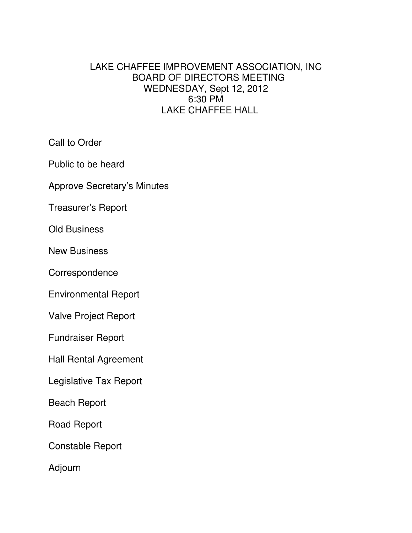# LAKE CHAFFEE IMPROVEMENT ASSOCIATION, INC BOARD OF DIRECTORS MEETING WEDNESDAY, Sept 12, 2012 6:30 PM LAKE CHAFFEE HALL

Call to Order

Public to be heard

Approve Secretary's Minutes

Treasurer's Report

Old Business

New Business

**Correspondence** 

Environmental Report

Valve Project Report

Fundraiser Report

Hall Rental Agreement

Legislative Tax Report

Beach Report

Road Report

Constable Report

Adjourn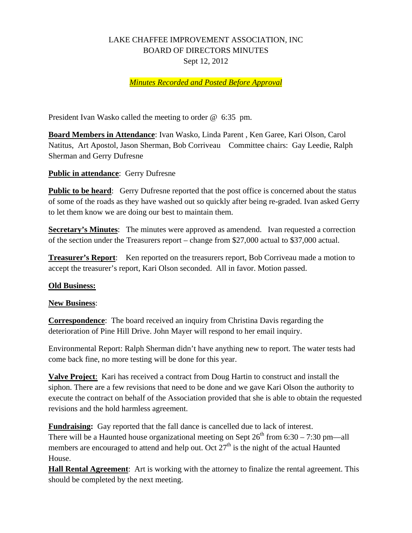# LAKE CHAFFEE IMPROVEMENT ASSOCIATION, INC BOARD OF DIRECTORS MINUTES Sept 12, 2012

### *Minutes Recorded and Posted Before Approval*

President Ivan Wasko called the meeting to order @ 6:35 pm.

**Board Members in Attendance**: Ivan Wasko, Linda Parent , Ken Garee, Kari Olson, Carol Natitus, Art Apostol, Jason Sherman, Bob Corriveau Committee chairs: Gay Leedie, Ralph Sherman and Gerry Dufresne

#### **Public in attendance**: Gerry Dufresne

**Public to be heard:** Gerry Dufresne reported that the post office is concerned about the status of some of the roads as they have washed out so quickly after being re-graded. Ivan asked Gerry to let them know we are doing our best to maintain them.

**Secretary's Minutes**: The minutes were approved as amendend. Ivan requested a correction of the section under the Treasurers report – change from \$27,000 actual to \$37,000 actual.

**Treasurer's Report**: Ken reported on the treasurers report, Bob Corriveau made a motion to accept the treasurer's report, Kari Olson seconded. All in favor. Motion passed.

#### **Old Business:**

#### **New Business**:

**Correspondence**: The board received an inquiry from Christina Davis regarding the deterioration of Pine Hill Drive. John Mayer will respond to her email inquiry.

Environmental Report: Ralph Sherman didn't have anything new to report. The water tests had come back fine, no more testing will be done for this year.

**Valve Project**: Kari has received a contract from Doug Hartin to construct and install the siphon. There are a few revisions that need to be done and we gave Kari Olson the authority to execute the contract on behalf of the Association provided that she is able to obtain the requested revisions and the hold harmless agreement.

**Fundraising:** Gay reported that the fall dance is cancelled due to lack of interest. There will be a Haunted house organizational meeting on Sept  $26^{th}$  from 6:30 – 7:30 pm—all

members are encouraged to attend and help out. Oct  $27<sup>th</sup>$  is the night of the actual Haunted House.

**Hall Rental Agreement**: Art is working with the attorney to finalize the rental agreement. This should be completed by the next meeting.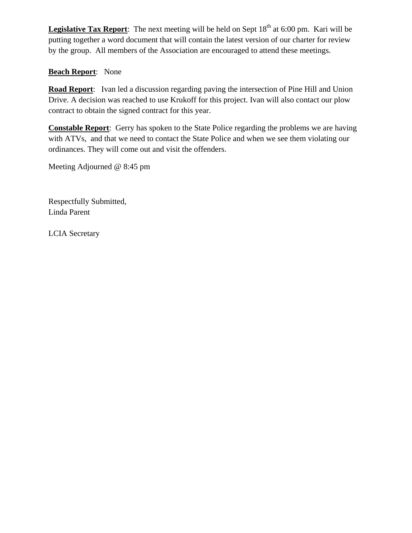**Legislative Tax Report**: The next meeting will be held on Sept 18<sup>th</sup> at 6:00 pm. Kari will be putting together a word document that will contain the latest version of our charter for review by the group. All members of the Association are encouraged to attend these meetings.

## **Beach Report**: None

**Road Report**: Ivan led a discussion regarding paving the intersection of Pine Hill and Union Drive. A decision was reached to use Krukoff for this project. Ivan will also contact our plow contract to obtain the signed contract for this year.

**Constable Report**: Gerry has spoken to the State Police regarding the problems we are having with ATVs, and that we need to contact the State Police and when we see them violating our ordinances. They will come out and visit the offenders.

Meeting Adjourned @ 8:45 pm

Respectfully Submitted, Linda Parent

LCIA Secretary